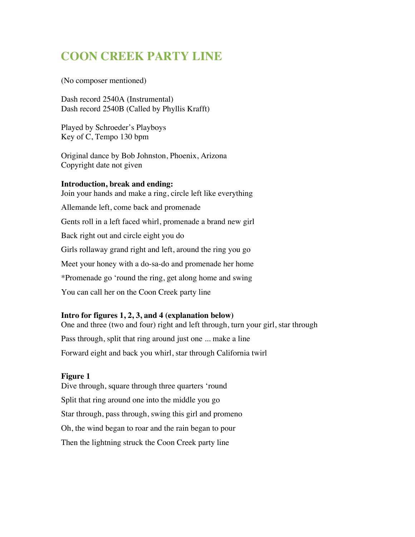# **COON CREEK PARTY LINE**

(No composer mentioned)

Dash record 2540A (Instrumental) Dash record 2540B (Called by Phyllis Krafft)

Played by Schroeder's Playboys Key of C, Tempo 130 bpm

Original dance by Bob Johnston, Phoenix, Arizona Copyright date not given

### **Introduction, break and ending:**

Join your hands and make a ring, circle left like everything Allemande left, come back and promenade Gents roll in a left faced whirl, promenade a brand new girl Back right out and circle eight you do Girls rollaway grand right and left, around the ring you go Meet your honey with a do-sa-do and promenade her home \*Promenade go 'round the ring, get along home and swing You can call her on the Coon Creek party line

# **Intro for figures 1, 2, 3, and 4 (explanation below)**

One and three (two and four) right and left through, turn your girl, star through Pass through, split that ring around just one ... make a line Forward eight and back you whirl, star through California twirl

#### **Figure 1**

Dive through, square through three quarters 'round Split that ring around one into the middle you go Star through, pass through, swing this girl and promeno Oh, the wind began to roar and the rain began to pour Then the lightning struck the Coon Creek party line